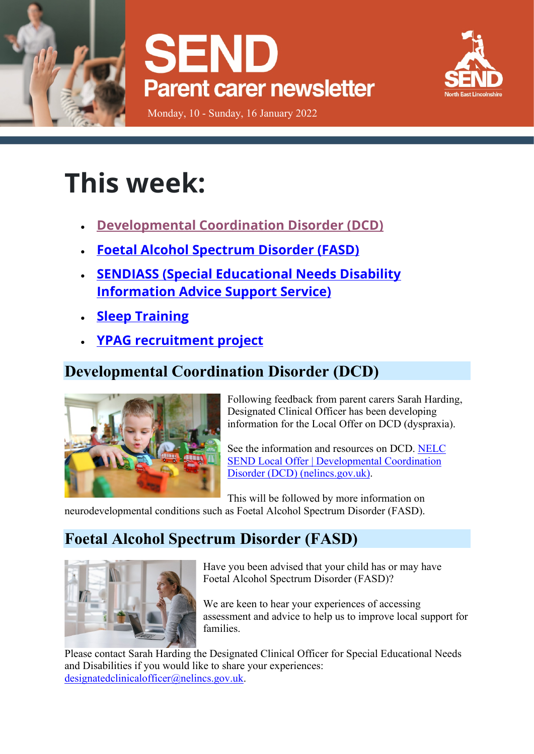





Monday, 10 - Sunday, 16 January 2022

# **This week:**

- **[Developmental Coordination Disorder \(DCD\)](https://sendlocaloffer.nelincs.gov.uk/parent-carer-weekly-update-10-16-january/#developmental-coordination-disorder-dcd)**
- **[Foetal Alcohol Spectrum Disorder \(FASD\)](https://sendlocaloffer.nelincs.gov.uk/parent-carer-weekly-update-10-16-january/#foetal-alcohol-spectrum-disorder-fasd)**
- **[SENDIASS \(Special Educational Needs Disability](https://sendlocaloffer.nelincs.gov.uk/parent-carer-weekly-update-10-16-january/#sendiass-special-educational-needs-disability-information-advice-support-service)  [Information Advice Support Service\)](https://sendlocaloffer.nelincs.gov.uk/parent-carer-weekly-update-10-16-january/#sendiass-special-educational-needs-disability-information-advice-support-service)**
- **[Sleep Training](https://sendlocaloffer.nelincs.gov.uk/parent-carer-weekly-update-10-16-january/#sleep-training)**
- **[YPAG recruitment project](https://sendlocaloffer.nelincs.gov.uk/parent-carer-weekly-update-10-16-january/#ypag-recruitment-project)**

## **Developmental Coordination Disorder (DCD)**



Following feedback from parent carers Sarah Harding, Designated Clinical Officer has been developing information for the Local Offer on DCD (dyspraxia).

See the information and resources on DCD. [NELC](https://sendlocaloffer.nelincs.gov.uk/developmental-coordination-disorder-dcd/)  [SEND Local Offer | Developmental Coordination](https://sendlocaloffer.nelincs.gov.uk/developmental-coordination-disorder-dcd/)  [Disorder \(DCD\) \(nelincs.gov.uk\).](https://sendlocaloffer.nelincs.gov.uk/developmental-coordination-disorder-dcd/)

This will be followed by more information on neurodevelopmental conditions such as Foetal Alcohol Spectrum Disorder (FASD).

## **Foetal Alcohol Spectrum Disorder (FASD)**



Have you been advised that your child has or may have Foetal Alcohol Spectrum Disorder (FASD)?

We are keen to hear your experiences of accessing assessment and advice to help us to improve local support for families.

Please contact Sarah Harding the Designated Clinical Officer for Special Educational Needs and Disabilities if you would like to share your experiences: [designatedclinicalofficer@nelincs.gov.uk.](mailto:designatedclinicalofficer@nelincs.gov.uk)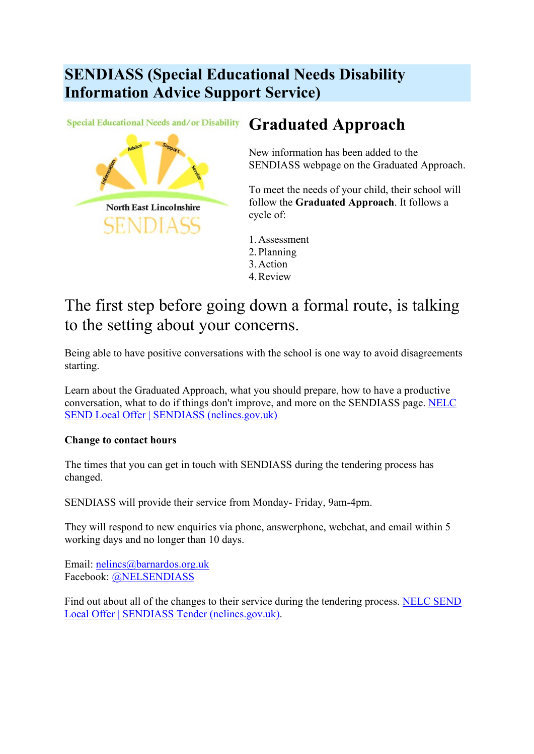## **SENDIASS (Special Educational Needs Disability Information Advice Support Service)**

Special Educational Needs and/or Disability



## **Graduated Approach**

New information has been added to the SENDIASS webpage on the Graduated Approach.

To meet the needs of your child, their school will follow the **Graduated Approach**. It follows a cycle of:

- 1.Assessment 2.Planning
- 3.Action
- 4.Review

## The first step before going down a formal route, is talking to the setting about your concerns.

Being able to have positive conversations with the school is one way to avoid disagreements starting.

Learn about the Graduated Approach, what you should prepare, how to have a productive conversation, what to do if things don't improve, and more on the SENDIASS page. [NELC](https://sendlocaloffer.nelincs.gov.uk/home/sendiass/)  [SEND Local Offer | SENDIASS \(nelincs.gov.uk\)](https://sendlocaloffer.nelincs.gov.uk/home/sendiass/)

#### **Change to contact hours**

The times that you can get in touch with SENDIASS during the tendering process has changed.

SENDIASS will provide their service from Monday- Friday, 9am-4pm.

They will respond to new enquiries via phone, answerphone, webchat, and email within 5 working days and no longer than 10 days.

Email: [nelincs@barnardos.org.uk](mailto:nelincs@barnardos.org.uk) Facebook: [@NELSENDIASS](https://www.facebook.com/NELSENDIASS)

Find out about all of the changes to their service during the tendering process. [NELC SEND](https://sendlocaloffer.nelincs.gov.uk/sendiass-tender/)  [Local Offer | SENDIASS Tender \(nelincs.gov.uk\).](https://sendlocaloffer.nelincs.gov.uk/sendiass-tender/)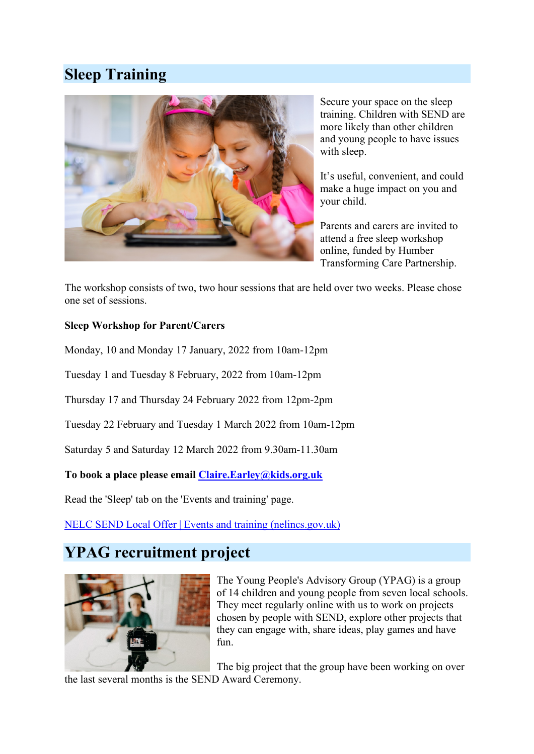## **Sleep Training**



Secure your space on the sleep training. Children with SEND are more likely than other children and young people to have issues with sleep.

It's useful, convenient, and could make a huge impact on you and your child.

Parents and carers are invited to attend a free sleep workshop online, funded by Humber Transforming Care Partnership.

The workshop consists of two, two hour sessions that are held over two weeks. Please chose one set of sessions.

#### **Sleep Workshop for Parent/Carers**

Monday, 10 and Monday 17 January, 2022 from 10am-12pm

Tuesday 1 and Tuesday 8 February, 2022 from 10am-12pm

Thursday 17 and Thursday 24 February 2022 from 12pm-2pm

Tuesday 22 February and Tuesday 1 March 2022 from 10am-12pm

Saturday 5 and Saturday 12 March 2022 from 9.30am-11.30am

**To book a place please email [Claire.Earley@kids.org.uk](mailto:Claire.Earley@kids.org.uk)**

Read the 'Sleep' tab on the 'Events and training' page.

[NELC SEND Local Offer | Events and training \(nelincs.gov.uk\)](https://sendlocaloffer.nelincs.gov.uk/home/events/)

### **YPAG recruitment project**



The Young People's Advisory Group (YPAG) is a group of 14 children and young people from seven local schools. They meet regularly online with us to work on projects chosen by people with SEND, explore other projects that they can engage with, share ideas, play games and have fun.

The big project that the group have been working on over

the last several months is the SEND Award Ceremony.